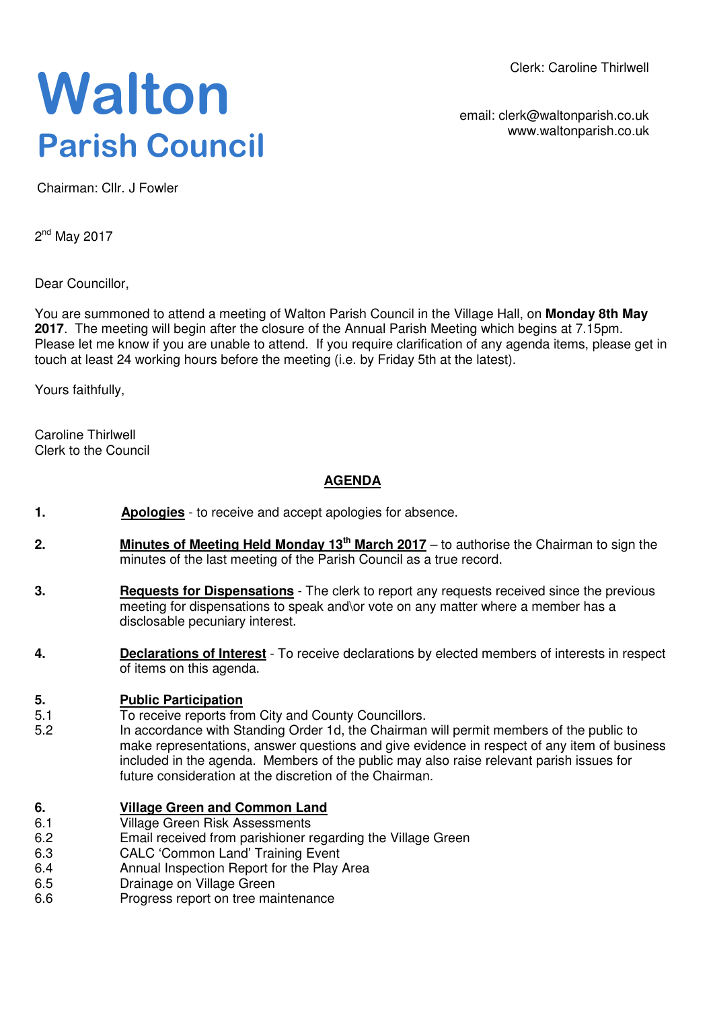Clerk: Caroline Thirlwell

## **Walton Parish Council**

email: clerk@waltonparish.co.uk www.waltonparish.co.uk

Chairman: Cllr. J Fowler

2<sup>nd</sup> May 2017

Dear Councillor,

You are summoned to attend a meeting of Walton Parish Council in the Village Hall, on **Monday 8th May 2017**. The meeting will begin after the closure of the Annual Parish Meeting which begins at 7.15pm. Please let me know if you are unable to attend. If you require clarification of any agenda items, please get in touch at least 24 working hours before the meeting (i.e. by Friday 5th at the latest).

Yours faithfully,

Caroline Thirlwell Clerk to the Council

## **AGENDA**

- **1. Apologies** to receive and accept apologies for absence.
- **2. Minutes of Meeting Held Monday 13th March 2017** to authorise the Chairman to sign the minutes of the last meeting of the Parish Council as a true record.
- **3. Requests for Dispensations** The clerk to report any requests received since the previous meeting for dispensations to speak and\or vote on any matter where a member has a disclosable pecuniary interest.
- **4. Declarations of Interest** To receive declarations by elected members of interests in respect of items on this agenda.

## **5. Public Participation**<br>5.1 **To receive reports fro**

- To receive reports from City and County Councillors.
- 5.2 In accordance with Standing Order 1d, the Chairman will permit members of the public to make representations, answer questions and give evidence in respect of any item of business included in the agenda. Members of the public may also raise relevant parish issues for future consideration at the discretion of the Chairman.

## **6. Village Green and Common Land**

- 6.1 Village Green Risk Assessments
- 6.2 Email received from parishioner regarding the Village Green
- 6.3 CALC 'Common Land' Training Event
- 6.4 Annual Inspection Report for the Play Area
- 6.5 Drainage on Village Green
- 6.6 Progress report on tree maintenance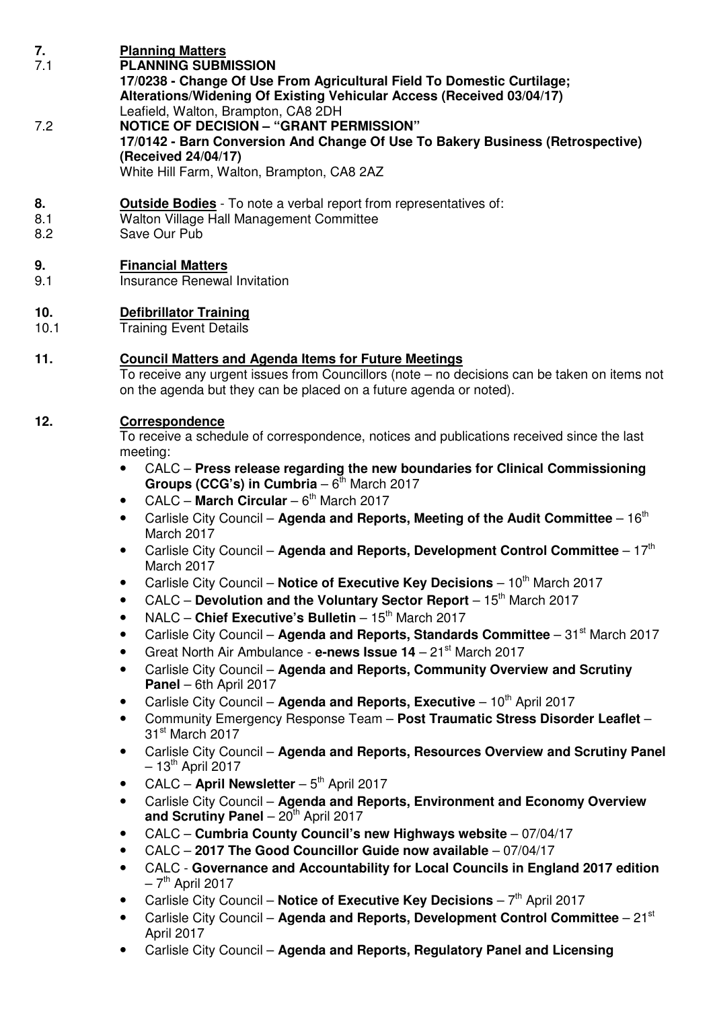| 7.<br>7.1        | <b>Planning Matters</b><br><b>PLANNING SUBMISSION</b><br>17/0238 - Change Of Use From Agricultural Field To Domestic Curtilage;<br>Alterations/Widening Of Existing Vehicular Access (Received 03/04/17)<br>Leafield, Walton, Brampton, CA8 2DH                                                                                                                                                                                                                                                                                                                                                                                                                                                                                                                                                                                                                                                                                                                                                                                                                                                                                                                                                                                                                                                                                                                                                                                                                                                                                                                                                                                                                                                                                                                                                                                                                                                                                                                                                                                         |
|------------------|-----------------------------------------------------------------------------------------------------------------------------------------------------------------------------------------------------------------------------------------------------------------------------------------------------------------------------------------------------------------------------------------------------------------------------------------------------------------------------------------------------------------------------------------------------------------------------------------------------------------------------------------------------------------------------------------------------------------------------------------------------------------------------------------------------------------------------------------------------------------------------------------------------------------------------------------------------------------------------------------------------------------------------------------------------------------------------------------------------------------------------------------------------------------------------------------------------------------------------------------------------------------------------------------------------------------------------------------------------------------------------------------------------------------------------------------------------------------------------------------------------------------------------------------------------------------------------------------------------------------------------------------------------------------------------------------------------------------------------------------------------------------------------------------------------------------------------------------------------------------------------------------------------------------------------------------------------------------------------------------------------------------------------------------|
| 7.2              | <b>NOTICE OF DECISION - "GRANT PERMISSION"</b><br>17/0142 - Barn Conversion And Change Of Use To Bakery Business (Retrospective)<br>(Received 24/04/17)<br>White Hill Farm, Walton, Brampton, CA8 2AZ                                                                                                                                                                                                                                                                                                                                                                                                                                                                                                                                                                                                                                                                                                                                                                                                                                                                                                                                                                                                                                                                                                                                                                                                                                                                                                                                                                                                                                                                                                                                                                                                                                                                                                                                                                                                                                   |
| 8.<br>8.1<br>8.2 | <b>Outside Bodies</b> - To note a verbal report from representatives of:<br>Walton Village Hall Management Committee<br>Save Our Pub                                                                                                                                                                                                                                                                                                                                                                                                                                                                                                                                                                                                                                                                                                                                                                                                                                                                                                                                                                                                                                                                                                                                                                                                                                                                                                                                                                                                                                                                                                                                                                                                                                                                                                                                                                                                                                                                                                    |
| 9.<br>9.1        | <b>Financial Matters</b><br>Insurance Renewal Invitation                                                                                                                                                                                                                                                                                                                                                                                                                                                                                                                                                                                                                                                                                                                                                                                                                                                                                                                                                                                                                                                                                                                                                                                                                                                                                                                                                                                                                                                                                                                                                                                                                                                                                                                                                                                                                                                                                                                                                                                |
| 10.<br>10.1      | <b>Defibrillator Training</b><br><b>Training Event Details</b>                                                                                                                                                                                                                                                                                                                                                                                                                                                                                                                                                                                                                                                                                                                                                                                                                                                                                                                                                                                                                                                                                                                                                                                                                                                                                                                                                                                                                                                                                                                                                                                                                                                                                                                                                                                                                                                                                                                                                                          |
| 11.              | <b>Council Matters and Agenda Items for Future Meetings</b><br>To receive any urgent issues from Councillors (note - no decisions can be taken on items not<br>on the agenda but they can be placed on a future agenda or noted).                                                                                                                                                                                                                                                                                                                                                                                                                                                                                                                                                                                                                                                                                                                                                                                                                                                                                                                                                                                                                                                                                                                                                                                                                                                                                                                                                                                                                                                                                                                                                                                                                                                                                                                                                                                                       |
| 12.              | Correspondence<br>To receive a schedule of correspondence, notices and publications received since the last<br>meeting:<br>CALC - Press release regarding the new boundaries for Clinical Commissioning<br>Groups (CCG's) in Cumbria $-6^{th}$ March 2017<br>CALC - March Circular - $6th$ March 2017<br>$\bullet$<br>Carlisle City Council – Agenda and Reports, Meeting of the Audit Committee – $16th$<br>$\bullet$<br>March 2017<br>Carlisle City Council – Agenda and Reports, Development Control Committee – $17th$<br>$\bullet$<br>March 2017<br>Carlisle City Council - Notice of Executive Key Decisions - 10 <sup>th</sup> March 2017<br>CALC - Devolution and the Voluntary Sector Report - 15 <sup>th</sup> March 2017<br>$\bullet$<br>NALC - Chief Executive's Bulletin - 15th March 2017<br>$\bullet$<br>Carlisle City Council - Agenda and Reports, Standards Committee - 31 <sup>st</sup> March 2017<br>$\bullet$<br>Great North Air Ambulance - e-news Issue 14 - 21 <sup>st</sup> March 2017<br>$\bullet$<br>Carlisle City Council - Agenda and Reports, Community Overview and Scrutiny<br>$\bullet$<br>Panel - 6th April 2017<br>Carlisle City Council - Agenda and Reports, Executive - 10 <sup>th</sup> April 2017<br>Community Emergency Response Team - Post Traumatic Stress Disorder Leaflet -<br>$\bullet$<br>31 <sup>st</sup> March 2017<br>Carlisle City Council - Agenda and Reports, Resources Overview and Scrutiny Panel<br>$\bullet$<br>$-13th$ April 2017<br>CALC - April Newsletter $-5th$ April 2017<br>Carlisle City Council - Agenda and Reports, Environment and Economy Overview<br>and Scrutiny Panel $-20th$ April 2017<br>CALC - Cumbria County Council's new Highways website - 07/04/17<br>$\bullet$<br>CALC - 2017 The Good Councillor Guide now available - 07/04/17<br>$\bullet$<br>CALC - Governance and Accountability for Local Councils in England 2017 edition<br>$\bullet$<br>$-7th$ April 2017<br>Carlisle City Council – Notice of Executive Key Decisions – $7th$ April 2017 |

- Carlisle City Council **Agenda and Reports, Development Control Committee** 21st April 2017
- Carlisle City Council **Agenda and Reports, Regulatory Panel and Licensing**